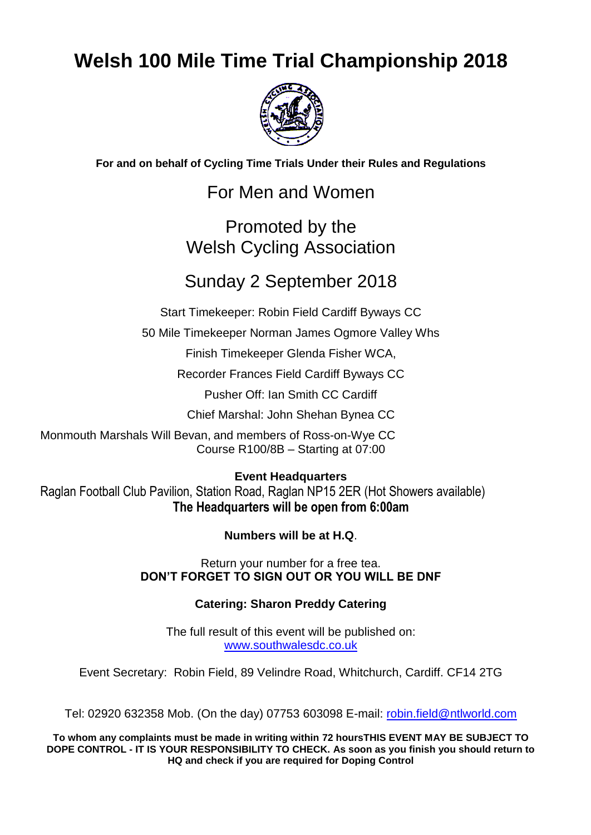## **Welsh 100 Mile Time Trial Championship 2018**



**For and on behalf of Cycling Time Trials Under their Rules and Regulations**

For Men and Women

### Promoted by the Welsh Cycling Association

## Sunday 2 September 2018

Start Timekeeper: Robin Field Cardiff Byways CC

50 Mile Timekeeper Norman James Ogmore Valley Whs

Finish Timekeeper Glenda Fisher WCA,

Recorder Frances Field Cardiff Byways CC

Pusher Off: Ian Smith CC Cardiff

Chief Marshal: John Shehan Bynea CC

Monmouth Marshals Will Bevan, and members of Ross-on-Wye CC Course R100/8B – Starting at 07:00

**Event Headquarters**

Raglan Football Club Pavilion, Station Road, Raglan NP15 2ER (Hot Showers available) **The Headquarters will be open from 6:00am** 

**Numbers will be at H.Q**.

Return your number for a free tea. **DON'T FORGET TO SIGN OUT OR YOU WILL BE DNF**

### **Catering: Sharon Preddy Catering**

The full result of this event will be published on: [www.southwalesdc.co.uk](file:///G:/WCA%20pre%202010/WCA%20100%202005/www.southwalesdc.co.uk)

Event Secretary: Robin Field, 89 Velindre Road, Whitchurch, Cardiff. CF14 2TG

Tel: 02920 632358 Mob. (On the day) 07753 603098 E-mail: [robin.field@ntlworld.com](mailto:Robin.field@ntlworld.com)

**To whom any complaints must be made in writing within 72 hoursTHIS EVENT MAY BE SUBJECT TO DOPE CONTROL - IT IS YOUR RESPONSIBILITY TO CHECK. As soon as you finish you should return to HQ and check if you are required for Doping Control**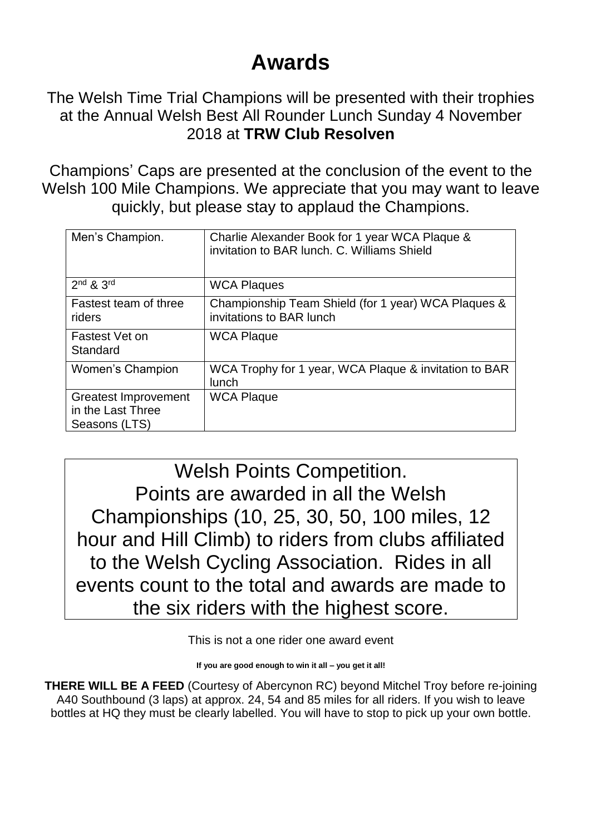# **Awards**

The Welsh Time Trial Champions will be presented with their trophies at the Annual Welsh Best All Rounder Lunch Sunday 4 November 2018 at **TRW Club Resolven**

Champions' Caps are presented at the conclusion of the event to the Welsh 100 Mile Champions. We appreciate that you may want to leave quickly, but please stay to applaud the Champions.

| Men's Champion.                                            | Charlie Alexander Book for 1 year WCA Plaque &<br>invitation to BAR lunch, C. Williams Shield |
|------------------------------------------------------------|-----------------------------------------------------------------------------------------------|
| $2nd$ & $3rd$                                              | <b>WCA Plaques</b>                                                                            |
| Fastest team of three<br>riders                            | Championship Team Shield (for 1 year) WCA Plaques &<br>invitations to BAR lunch               |
| Fastest Vet on<br>Standard                                 | <b>WCA Plaque</b>                                                                             |
| Women's Champion                                           | WCA Trophy for 1 year, WCA Plaque & invitation to BAR<br>lunch                                |
| Greatest Improvement<br>in the Last Three<br>Seasons (LTS) | <b>WCA Plaque</b>                                                                             |

Welsh Points Competition. Points are awarded in all the Welsh Championships (10, 25, 30, 50, 100 miles, 12 hour and Hill Climb) to riders from clubs affiliated to the Welsh Cycling Association. Rides in all events count to the total and awards are made to the six riders with the highest score.

This is not a one rider one award event

**If you are good enough to win it all – you get it all!**

**THERE WILL BE A FEED** (Courtesy of Abercynon RC) beyond Mitchel Troy before re-joining A40 Southbound (3 laps) at approx. 24, 54 and 85 miles for all riders. If you wish to leave bottles at HQ they must be clearly labelled. You will have to stop to pick up your own bottle.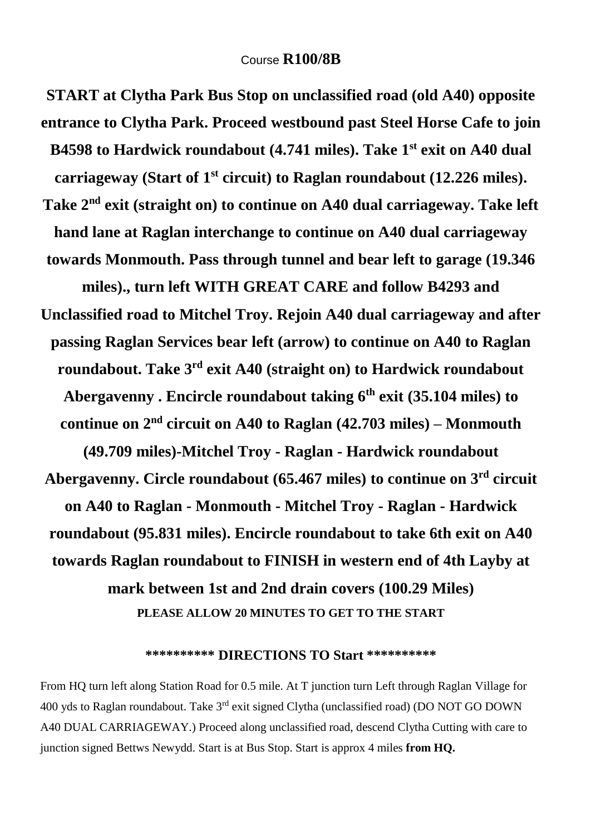**START at Clytha Park Bus Stop on unclassified road (old A40) opposite entrance to Clytha Park. Proceed westbound past Steel Horse Cafe to join B4598 to Hardwick roundabout (4.741 miles). Take 1st exit on A40 dual carriageway (Start of 1st circuit) to Raglan roundabout (12.226 miles). Take 2nd exit (straight on) to continue on A40 dual carriageway. Take left hand lane at Raglan interchange to continue on A40 dual carriageway towards Monmouth. Pass through tunnel and bear left to garage (19.346 miles)., turn left WITH GREAT CARE and follow B4293 and Unclassified road to Mitchel Troy. Rejoin A40 dual carriageway and after passing Raglan Services bear left (arrow) to continue on A40 to Raglan roundabout. Take 3rd exit A40 (straight on) to Hardwick roundabout Abergavenny . Encircle roundabout taking 6th exit (35.104 miles) to continue on**  $2^{nd}$  **circuit on A40 to Raglan (42.703 miles) – Monmouth (49.709 miles)-Mitchel Troy - Raglan - Hardwick roundabout Abergavenny. Circle roundabout (65.467 miles) to continue on 3rd circuit on A40 to Raglan - Monmouth - Mitchel Troy - Raglan - Hardwick roundabout (95.831 miles). Encircle roundabout to take 6th exit on A40 towards Raglan roundabout to FINISH in western end of 4th Layby at mark between 1st and 2nd drain covers (100.29 Miles) PLEASE ALLOW 20 MINUTES TO GET TO THE START**

#### **\*\*\*\*\*\*\*\*\*\* DIRECTIONS TO Start \*\*\*\*\*\*\*\*\*\***

From HQ turn left along Station Road for 0.5 mile. At T junction turn Left through Raglan Village for 400 yds to Raglan roundabout. Take 3rd exit signed Clytha (unclassified road) (DO NOT GO DOWN A40 DUAL CARRIAGEWAY.) Proceed along unclassified road, descend Clytha Cutting with care to junction signed Bettws Newydd. Start is at Bus Stop. Start is approx 4 miles **from HQ.**